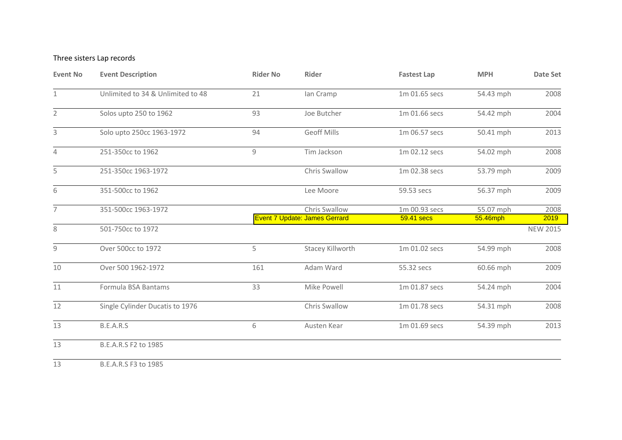## Three sisters Lap records

| <b>Event No</b> | <b>Event Description</b>          | <b>Rider No</b> | <b>Rider</b>                                          | <b>Fastest Lap</b>          | <b>MPH</b>            | Date Set        |
|-----------------|-----------------------------------|-----------------|-------------------------------------------------------|-----------------------------|-----------------------|-----------------|
| $\mathbf{1}$    | Unlimited to 34 & Unlimited to 48 | 21              | lan Cramp                                             | 1m 01.65 secs               | 54.43 mph             | 2008            |
| $\overline{2}$  | Solos upto 250 to 1962            | 93              | Joe Butcher                                           | 1m 01.66 secs               | 54.42 mph             | 2004            |
| 3               | Solo upto 250cc 1963-1972         | 94              | <b>Geoff Mills</b>                                    | 1m 06.57 secs               | 50.41 mph             | 2013            |
| 4               | 251-350cc to 1962                 | 9               | Tim Jackson                                           | 1m 02.12 secs               | 54.02 mph             | 2008            |
| 5               | 251-350cc 1963-1972               |                 | Chris Swallow                                         | 1m 02.38 secs               | 53.79 mph             | 2009            |
| 6               | 351-500cc to 1962                 |                 | Lee Moore                                             | 59.53 secs                  | 56.37 mph             | 2009            |
| $\overline{7}$  | 351-500cc 1963-1972               |                 | Chris Swallow<br><b>Event 7 Update: James Gerrard</b> | 1m 00.93 secs<br>59.41 secs | 55.07 mph<br>55.46mph | 2008<br>2019    |
| 8               | 501-750cc to 1972                 |                 |                                                       |                             |                       | <b>NEW 2015</b> |
| 9               | Over 500cc to 1972                | 5               | Stacey Killworth                                      | 1m 01.02 secs               | 54.99 mph             | 2008            |
| 10              | Over 500 1962-1972                | 161             | Adam Ward                                             | 55.32 secs                  | 60.66 mph             | 2009            |
| 11              | Formula BSA Bantams               | 33              | Mike Powell                                           | 1m 01.87 secs               | 54.24 mph             | 2004            |
| 12              | Single Cylinder Ducatis to 1976   |                 | Chris Swallow                                         | 1m 01.78 secs               | 54.31 mph             | 2008            |
| 13              | B.E.A.R.S                         | 6               | Austen Kear                                           | 1m 01.69 secs               | 54.39 mph             | 2013            |
| 13              | B.E.A.R.S F2 to 1985              |                 |                                                       |                             |                       |                 |
|                 |                                   |                 |                                                       |                             |                       |                 |

B.E.A.R.S F3 to 1985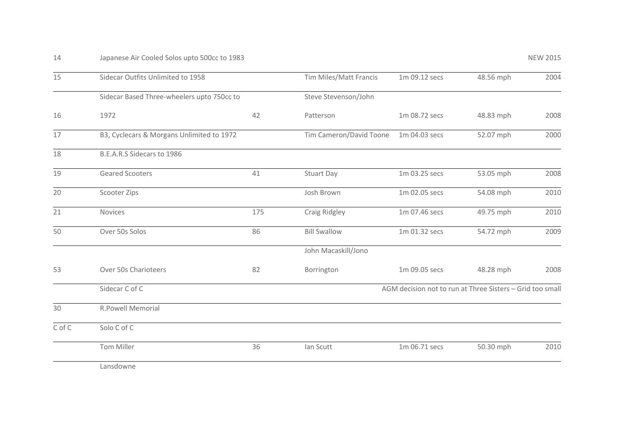| 15     | Sidecar Outfits Unlimited to 1958          |     | Tim Miles/Matt Francis                                    | 1m 09.12 secs | 48.56 mph | 2004 |  |
|--------|--------------------------------------------|-----|-----------------------------------------------------------|---------------|-----------|------|--|
|        | Sidecar Based Three-wheelers upto 750cc to |     | Steve Stevenson/John                                      |               |           |      |  |
| 16     | 1972                                       | 42  | Patterson                                                 | 1m 08.72 secs | 48.83 mph | 2008 |  |
| 17     | B3, Cyclecars & Morgans Unlimited to 1972  |     | Tim Cameron/David Toone                                   | 1m 04.03 secs | 52.07 mph | 2000 |  |
| 18     | B.E.A.R.S Sidecars to 1986                 |     |                                                           |               |           |      |  |
| 19     | <b>Geared Scooters</b>                     | 41  | <b>Stuart Day</b>                                         | 1m 03.25 secs | 53.05 mph | 2008 |  |
| 20     | Scooter Zips                               |     | Josh Brown                                                | 1m 02.05 secs | 54.08 mph | 2010 |  |
| 21     | Novices                                    | 175 | Craig Ridgley                                             | 1m 07.46 secs | 49.75 mph | 2010 |  |
| 50     | Over 50s Solos                             | 86  | <b>Bill Swallow</b>                                       | 1m 01.32 secs | 54.72 mph | 2009 |  |
|        |                                            |     | John Macaskill/Jono                                       |               |           |      |  |
| 53     | Over 50s Charioteers                       | 82  | Borrington                                                | 1m 09.05 secs | 48.28 mph | 2008 |  |
|        | Sidecar C of C                             |     | AGM decision not to run at Three Sisters - Grid too small |               |           |      |  |
| 30     | <b>R.Powell Memorial</b>                   |     |                                                           |               |           |      |  |
| C of C | Solo C of C                                |     |                                                           |               |           |      |  |
|        | Tom Miller                                 | 36  | Ian Scutt                                                 | 1m 06.71 secs | 50.30 mph | 2010 |  |
|        | Lansdowne                                  |     |                                                           |               |           |      |  |